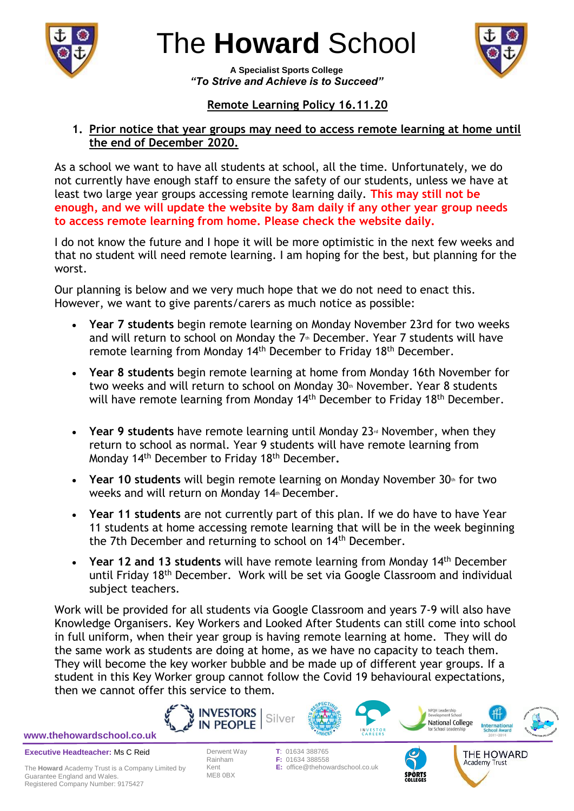

# The **Howard** School



**A Specialist Sports College** *"To Strive and Achieve is to Succeed"*

## **Remote Learning Policy 16.11.20**

#### **1. Prior notice that year groups may need to access remote learning at home until the end of December 2020.**

As a school we want to have all students at school, all the time. Unfortunately, we do not currently have enough staff to ensure the safety of our students, unless we have at least two large year groups accessing remote learning daily. **This may still not be enough, and we will update the website by 8am daily if any other year group needs to access remote learning from home. Please check the website daily.**

I do not know the future and I hope it will be more optimistic in the next few weeks and that no student will need remote learning. I am hoping for the best, but planning for the worst.

Our planning is below and we very much hope that we do not need to enact this. However, we want to give parents/carers as much notice as possible:

- **Year 7 students** begin remote learning on Monday November 23rd for two weeks and will return to school on Monday the 7<sup>th</sup> December. Year 7 students will have remote learning from Monday 14<sup>th</sup> December to Friday 18<sup>th</sup> December.
- **Year 8 students** begin remote learning at home from Monday 16th November for two weeks and will return to school on Monday 30th November. Year 8 students will have remote learning from Monday 14<sup>th</sup> December to Friday 18<sup>th</sup> December.
- **Year 9 students** have remote learning until Monday 23<sup>rd</sup> November, when they return to school as normal. Year 9 students will have remote learning from Monday 14 th December to Friday 18th December**.**
- Year 10 students will begin remote learning on Monday November 30<sup>th</sup> for two weeks and will return on Monday 14th December.
- **Year 11 students** are not currently part of this plan. If we do have to have Year 11 students at home accessing remote learning that will be in the week beginning the 7th December and returning to school on 14th December.
- Year 12 and 13 students will have remote learning from Monday 14<sup>th</sup> December until Friday 18th December. Work will be set via Google Classroom and individual subject teachers.

Work will be provided for all students via Google Classroom and years 7-9 will also have Knowledge Organisers. Key Workers and Looked After Students can still come into school in full uniform, when their year group is having remote learning at home. They will do the same work as students are doing at home, as we have no capacity to teach them. They will become the key worker bubble and be made up of different year groups. If a student in this Key Worker group cannot follow the Covid 19 behavioural expectations, then we cannot offer this service to them.







Academy Trust



**Executive Headteacher:** Ms C Reid **[www.thehowardschool.co.uk](http://www.thehowardschool.co.uk/)**

ME8 0BX

Derwent Way **T**: 01634 388765 F: 01634 388558 Kent **E:** office@thehowardschool.co.uk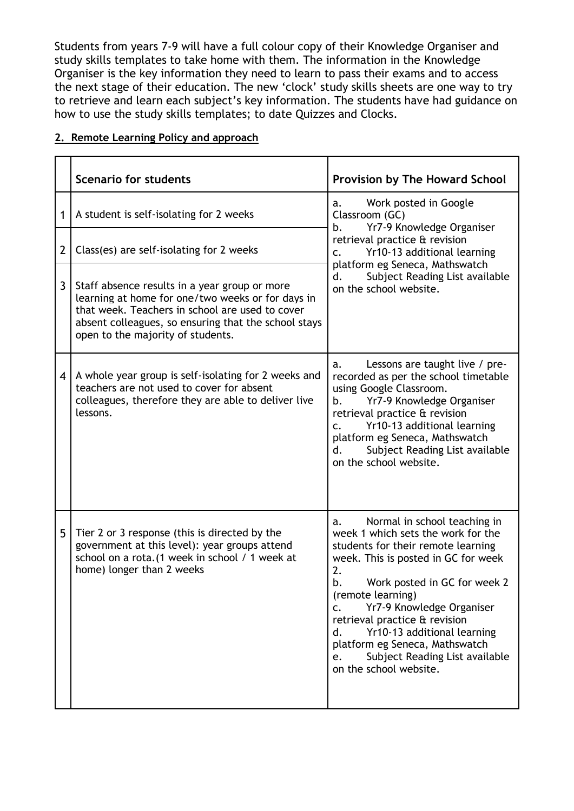Students from years 7-9 will have a full colour copy of their Knowledge Organiser and study skills templates to take home with them. The information in the Knowledge Organiser is the key information they need to learn to pass their exams and to access the next stage of their education. The new 'clock' study skills sheets are one way to try to retrieve and learn each subject's key information. The students have had guidance on how to use the study skills templates; to date Quizzes and Clocks.

|                | <b>Scenario for students</b>                                                                                                                                                                                                                       | <b>Provision by The Howard School</b>                                                                                                                                                                                                                                                                                                                                                                                                           |
|----------------|----------------------------------------------------------------------------------------------------------------------------------------------------------------------------------------------------------------------------------------------------|-------------------------------------------------------------------------------------------------------------------------------------------------------------------------------------------------------------------------------------------------------------------------------------------------------------------------------------------------------------------------------------------------------------------------------------------------|
| 1              | A student is self-isolating for 2 weeks                                                                                                                                                                                                            | Work posted in Google<br>a.<br>Classroom (GC)<br>Yr7-9 Knowledge Organiser<br>b.<br>retrieval practice & revision<br>Yr10-13 additional learning<br>$\mathsf{C}$ .<br>platform eg Seneca, Mathswatch<br>Subject Reading List available<br>d.<br>on the school website.                                                                                                                                                                          |
| $\overline{2}$ | Class(es) are self-isolating for 2 weeks                                                                                                                                                                                                           |                                                                                                                                                                                                                                                                                                                                                                                                                                                 |
| 3              | Staff absence results in a year group or more<br>learning at home for one/two weeks or for days in<br>that week. Teachers in school are used to cover<br>absent colleagues, so ensuring that the school stays<br>open to the majority of students. |                                                                                                                                                                                                                                                                                                                                                                                                                                                 |
| 4              | A whole year group is self-isolating for 2 weeks and<br>teachers are not used to cover for absent<br>colleagues, therefore they are able to deliver live<br>lessons.                                                                               | Lessons are taught live / pre-<br>a.<br>recorded as per the school timetable<br>using Google Classroom.<br>b.<br>Yr7-9 Knowledge Organiser<br>retrieval practice & revision<br>Yr10-13 additional learning<br>$\mathsf{C}$ .<br>platform eg Seneca, Mathswatch<br>Subject Reading List available<br>d.<br>on the school website.                                                                                                                |
| 5              | Tier 2 or 3 response (this is directed by the<br>government at this level): year groups attend<br>school on a rota. (1 week in school / 1 week at<br>home) longer than 2 weeks                                                                     | Normal in school teaching in<br>a.<br>week 1 which sets the work for the<br>students for their remote learning<br>week. This is posted in GC for week<br>2.<br>Work posted in GC for week 2<br>b.<br>(remote learning)<br>Yr7-9 Knowledge Organiser<br>C <sub>1</sub><br>retrieval practice & revision<br>d.<br>Yr10-13 additional learning<br>platform eg Seneca, Mathswatch<br>Subject Reading List available<br>e.<br>on the school website. |

#### **2. Remote Learning Policy and approach**